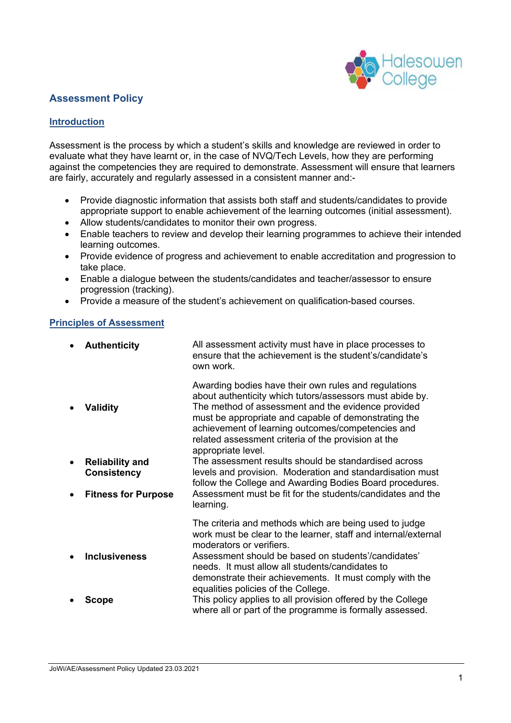

## **Assessment Policy**

#### **Introduction**

Assessment is the process by which a student's skills and knowledge are reviewed in order to evaluate what they have learnt or, in the case of NVQ/Tech Levels, how they are performing against the competencies they are required to demonstrate. Assessment will ensure that learners are fairly, accurately and regularly assessed in a consistent manner and:-

- Provide diagnostic information that assists both staff and students/candidates to provide appropriate support to enable achievement of the learning outcomes (initial assessment).
- Allow students/candidates to monitor their own progress.
- Enable teachers to review and develop their learning programmes to achieve their intended learning outcomes.
- Provide evidence of progress and achievement to enable accreditation and progression to take place.
- Enable a dialogue between the students/candidates and teacher/assessor to ensure progression (tracking).
- Provide a measure of the student's achievement on qualification-based courses.

#### **Principles of Assessment**

| $\bullet$              | <b>Authenticity</b>                                             | All assessment activity must have in place processes to<br>ensure that the achievement is the student's/candidate's<br>own work.                                                                                                                                                                                                                                                                                                                                                                                                                  |
|------------------------|-----------------------------------------------------------------|---------------------------------------------------------------------------------------------------------------------------------------------------------------------------------------------------------------------------------------------------------------------------------------------------------------------------------------------------------------------------------------------------------------------------------------------------------------------------------------------------------------------------------------------------|
| $\bullet$<br>$\bullet$ | <b>Validity</b><br><b>Reliability and</b><br><b>Consistency</b> | Awarding bodies have their own rules and regulations<br>about authenticity which tutors/assessors must abide by.<br>The method of assessment and the evidence provided<br>must be appropriate and capable of demonstrating the<br>achievement of learning outcomes/competencies and<br>related assessment criteria of the provision at the<br>appropriate level.<br>The assessment results should be standardised across<br>levels and provision. Moderation and standardisation must<br>follow the College and Awarding Bodies Board procedures. |
| $\bullet$              | <b>Fitness for Purpose</b>                                      | Assessment must be fit for the students/candidates and the<br>learning.                                                                                                                                                                                                                                                                                                                                                                                                                                                                           |
| $\bullet$              | <b>Inclusiveness</b>                                            | The criteria and methods which are being used to judge<br>work must be clear to the learner, staff and internal/external<br>moderators or verifiers.<br>Assessment should be based on students'/candidates'<br>needs. It must allow all students/candidates to<br>demonstrate their achievements. It must comply with the                                                                                                                                                                                                                         |
| $\bullet$              | <b>Scope</b>                                                    | equalities policies of the College.<br>This policy applies to all provision offered by the College<br>where all or part of the programme is formally assessed.                                                                                                                                                                                                                                                                                                                                                                                    |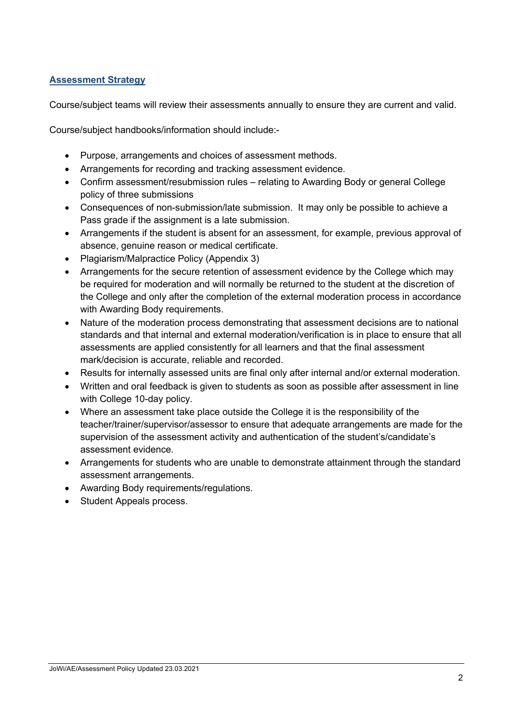### **Assessment Strategy**

Course/subject teams will review their assessments annually to ensure they are current and valid.

Course/subject handbooks/information should include:-

- Purpose, arrangements and choices of assessment methods.
- Arrangements for recording and tracking assessment evidence.
- Confirm assessment/resubmission rules relating to Awarding Body or general College policy of three submissions
- Consequences of non-submission/late submission. It may only be possible to achieve a Pass grade if the assignment is a late submission.
- Arrangements if the student is absent for an assessment, for example, previous approval of absence, genuine reason or medical certificate.
- Plagiarism/Malpractice Policy (Appendix 3)
- Arrangements for the secure retention of assessment evidence by the College which may be required for moderation and will normally be returned to the student at the discretion of the College and only after the completion of the external moderation process in accordance with Awarding Body requirements.
- Nature of the moderation process demonstrating that assessment decisions are to national standards and that internal and external moderation/verification is in place to ensure that all assessments are applied consistently for all learners and that the final assessment mark/decision is accurate, reliable and recorded.
- Results for internally assessed units are final only after internal and/or external moderation.
- Written and oral feedback is given to students as soon as possible after assessment in line with College 10-day policy.
- Where an assessment take place outside the College it is the responsibility of the teacher/trainer/supervisor/assessor to ensure that adequate arrangements are made for the supervision of the assessment activity and authentication of the student's/candidate's assessment evidence.
- Arrangements for students who are unable to demonstrate attainment through the standard assessment arrangements.
- Awarding Body requirements/regulations.
- Student Appeals process.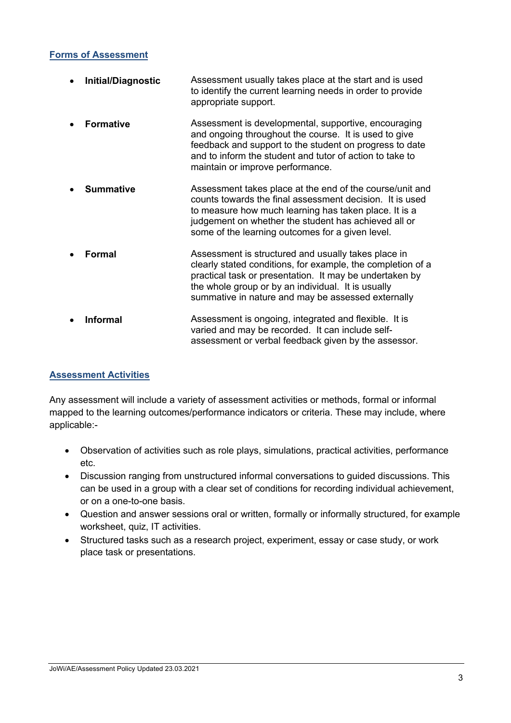#### **Forms of Assessment**

| $\bullet$ | Initial/Diagnostic | Assessment usually takes place at the start and is used<br>to identify the current learning needs in order to provide<br>appropriate support.                                                                                                                                             |
|-----------|--------------------|-------------------------------------------------------------------------------------------------------------------------------------------------------------------------------------------------------------------------------------------------------------------------------------------|
| $\bullet$ | <b>Formative</b>   | Assessment is developmental, supportive, encouraging<br>and ongoing throughout the course. It is used to give<br>feedback and support to the student on progress to date<br>and to inform the student and tutor of action to take to<br>maintain or improve performance.                  |
|           | <b>Summative</b>   | Assessment takes place at the end of the course/unit and<br>counts towards the final assessment decision. It is used<br>to measure how much learning has taken place. It is a<br>judgement on whether the student has achieved all or<br>some of the learning outcomes for a given level. |
|           | Formal             | Assessment is structured and usually takes place in<br>clearly stated conditions, for example, the completion of a<br>practical task or presentation. It may be undertaken by<br>the whole group or by an individual. It is usually<br>summative in nature and may be assessed externally |
| $\bullet$ | <b>Informal</b>    | Assessment is ongoing, integrated and flexible. It is<br>varied and may be recorded. It can include self-<br>assessment or verbal feedback given by the assessor.                                                                                                                         |

# **Assessment Activities**

Any assessment will include a variety of assessment activities or methods, formal or informal mapped to the learning outcomes/performance indicators or criteria. These may include, where applicable:-

- Observation of activities such as role plays, simulations, practical activities, performance etc.
- Discussion ranging from unstructured informal conversations to guided discussions. This can be used in a group with a clear set of conditions for recording individual achievement, or on a one-to-one basis.
- Question and answer sessions oral or written, formally or informally structured, for example worksheet, quiz, IT activities.
- Structured tasks such as a research project, experiment, essay or case study, or work place task or presentations.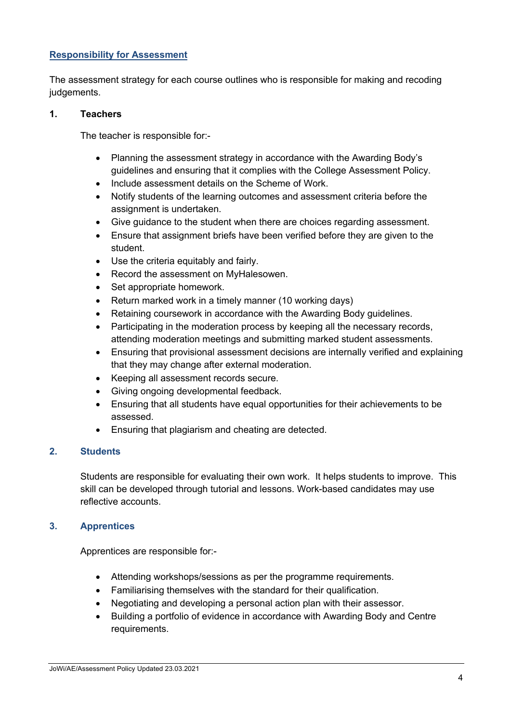### **Responsibility for Assessment**

The assessment strategy for each course outlines who is responsible for making and recoding judgements.

#### **1. Teachers**

The teacher is responsible for:-

- Planning the assessment strategy in accordance with the Awarding Body's guidelines and ensuring that it complies with the College Assessment Policy.
- Include assessment details on the Scheme of Work.
- Notify students of the learning outcomes and assessment criteria before the assignment is undertaken.
- Give guidance to the student when there are choices regarding assessment.
- Ensure that assignment briefs have been verified before they are given to the student.
- Use the criteria equitably and fairly.
- Record the assessment on MyHalesowen.
- Set appropriate homework.
- Return marked work in a timely manner (10 working days)
- Retaining coursework in accordance with the Awarding Body guidelines.
- Participating in the moderation process by keeping all the necessary records, attending moderation meetings and submitting marked student assessments.
- Ensuring that provisional assessment decisions are internally verified and explaining that they may change after external moderation.
- Keeping all assessment records secure.
- Giving ongoing developmental feedback.
- Ensuring that all students have equal opportunities for their achievements to be assessed.
- Ensuring that plagiarism and cheating are detected.

#### **2. Students**

Students are responsible for evaluating their own work. It helps students to improve. This skill can be developed through tutorial and lessons. Work-based candidates may use reflective accounts.

### **3. Apprentices**

Apprentices are responsible for:-

- Attending workshops/sessions as per the programme requirements.
- Familiarising themselves with the standard for their qualification.
- Negotiating and developing a personal action plan with their assessor.
- Building a portfolio of evidence in accordance with Awarding Body and Centre requirements.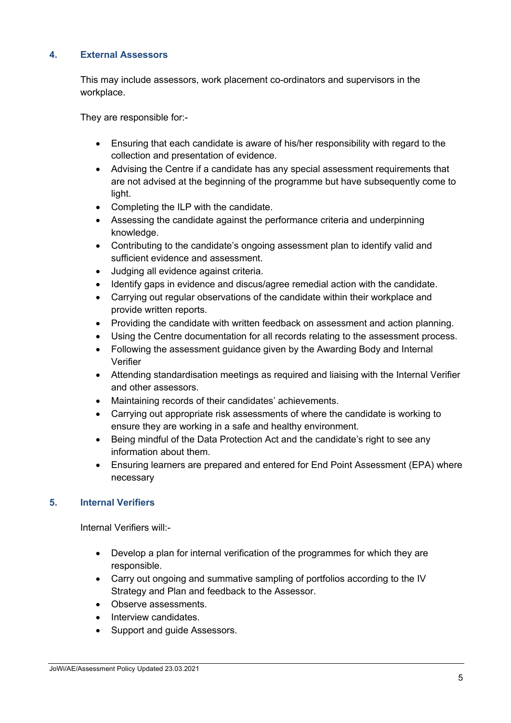## **4. External Assessors**

This may include assessors, work placement co-ordinators and supervisors in the workplace.

They are responsible for:-

- Ensuring that each candidate is aware of his/her responsibility with regard to the collection and presentation of evidence.
- Advising the Centre if a candidate has any special assessment requirements that are not advised at the beginning of the programme but have subsequently come to light.
- Completing the ILP with the candidate.
- Assessing the candidate against the performance criteria and underpinning knowledge.
- Contributing to the candidate's ongoing assessment plan to identify valid and sufficient evidence and assessment.
- Judging all evidence against criteria.
- Identify gaps in evidence and discus/agree remedial action with the candidate.
- Carrying out regular observations of the candidate within their workplace and provide written reports.
- Providing the candidate with written feedback on assessment and action planning.
- Using the Centre documentation for all records relating to the assessment process.
- Following the assessment guidance given by the Awarding Body and Internal Verifier
- Attending standardisation meetings as required and liaising with the Internal Verifier and other assessors.
- Maintaining records of their candidates' achievements.
- Carrying out appropriate risk assessments of where the candidate is working to ensure they are working in a safe and healthy environment.
- Being mindful of the Data Protection Act and the candidate's right to see any information about them.
- Ensuring learners are prepared and entered for End Point Assessment (EPA) where necessary

### **5. Internal Verifiers**

Internal Verifiers will:-

- Develop a plan for internal verification of the programmes for which they are responsible.
- Carry out ongoing and summative sampling of portfolios according to the IV Strategy and Plan and feedback to the Assessor.
- Observe assessments.
- Interview candidates
- Support and guide Assessors.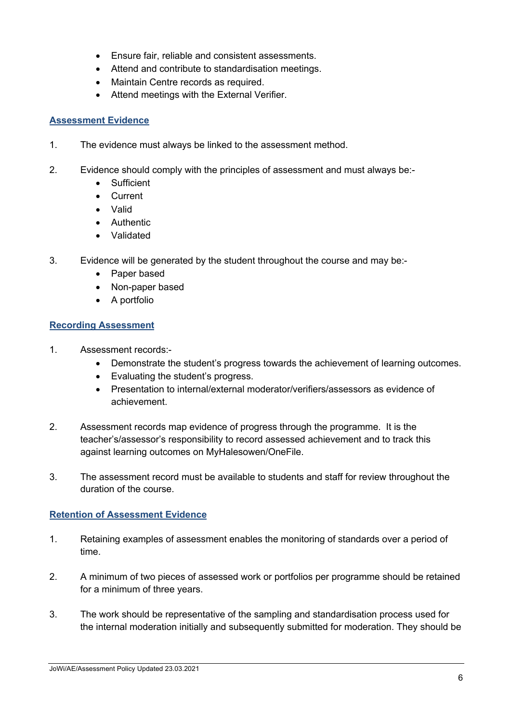- Ensure fair, reliable and consistent assessments.
- Attend and contribute to standardisation meetings.
- Maintain Centre records as required.
- Attend meetings with the External Verifier.

### **Assessment Evidence**

- 1. The evidence must always be linked to the assessment method.
- 2. Evidence should comply with the principles of assessment and must always be:-
	- **Sufficient**
	- Current
	- Valid
	- Authentic
	- Validated
- 3. Evidence will be generated by the student throughout the course and may be:-
	- Paper based
	- Non-paper based
	- A portfolio

### **Recording Assessment**

- 1. Assessment records:-
	- Demonstrate the student's progress towards the achievement of learning outcomes.
	- Evaluating the student's progress.
	- Presentation to internal/external moderator/verifiers/assessors as evidence of achievement.
- 2. Assessment records map evidence of progress through the programme. It is the teacher's/assessor's responsibility to record assessed achievement and to track this against learning outcomes on MyHalesowen/OneFile.
- 3. The assessment record must be available to students and staff for review throughout the duration of the course.

### **Retention of Assessment Evidence**

- 1. Retaining examples of assessment enables the monitoring of standards over a period of time.
- 2. A minimum of two pieces of assessed work or portfolios per programme should be retained for a minimum of three years.
- 3. The work should be representative of the sampling and standardisation process used for the internal moderation initially and subsequently submitted for moderation. They should be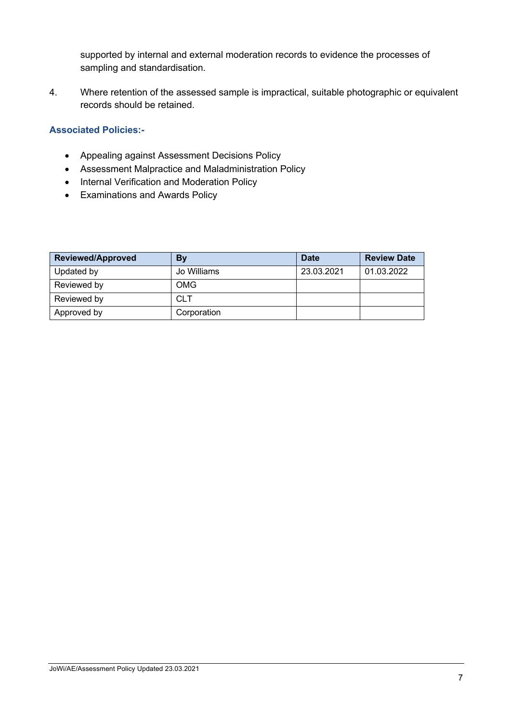supported by internal and external moderation records to evidence the processes of sampling and standardisation.

4. Where retention of the assessed sample is impractical, suitable photographic or equivalent records should be retained.

# **Associated Policies:-**

- Appealing against Assessment Decisions Policy
- Assessment Malpractice and Maladministration Policy
- Internal Verification and Moderation Policy
- Examinations and Awards Policy

| <b>Reviewed/Approved</b> | By          | <b>Date</b> | <b>Review Date</b> |
|--------------------------|-------------|-------------|--------------------|
| Updated by               | Jo Williams | 23.03.2021  | 01.03.2022         |
| Reviewed by              | <b>OMG</b>  |             |                    |
| Reviewed by              | <b>CLT</b>  |             |                    |
| Approved by              | Corporation |             |                    |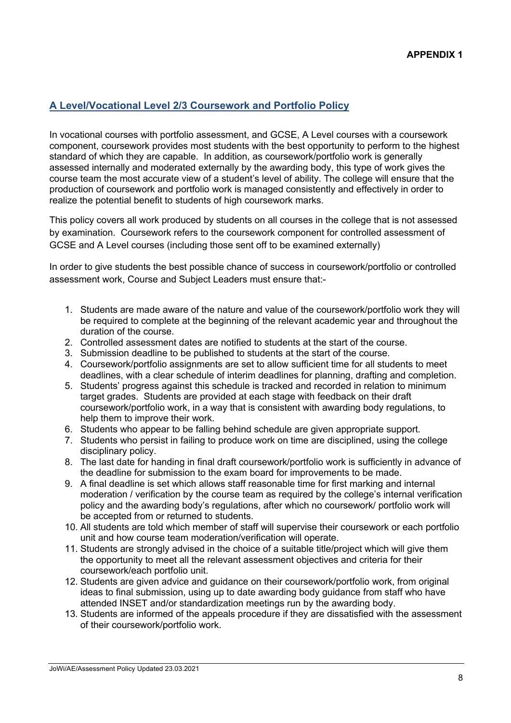## **A Level/Vocational Level 2/3 Coursework and Portfolio Policy**

In vocational courses with portfolio assessment, and GCSE, A Level courses with a coursework component, coursework provides most students with the best opportunity to perform to the highest standard of which they are capable. In addition, as coursework/portfolio work is generally assessed internally and moderated externally by the awarding body, this type of work gives the course team the most accurate view of a student's level of ability. The college will ensure that the production of coursework and portfolio work is managed consistently and effectively in order to realize the potential benefit to students of high coursework marks.

This policy covers all work produced by students on all courses in the college that is not assessed by examination. Coursework refers to the coursework component for controlled assessment of GCSE and A Level courses (including those sent off to be examined externally)

In order to give students the best possible chance of success in coursework/portfolio or controlled assessment work, Course and Subject Leaders must ensure that:-

- 1. Students are made aware of the nature and value of the coursework/portfolio work they will be required to complete at the beginning of the relevant academic year and throughout the duration of the course.
- 2. Controlled assessment dates are notified to students at the start of the course.
- 3. Submission deadline to be published to students at the start of the course.
- 4. Coursework/portfolio assignments are set to allow sufficient time for all students to meet deadlines, with a clear schedule of interim deadlines for planning, drafting and completion.
- 5. Students' progress against this schedule is tracked and recorded in relation to minimum target grades. Students are provided at each stage with feedback on their draft coursework/portfolio work, in a way that is consistent with awarding body regulations, to help them to improve their work.
- 6. Students who appear to be falling behind schedule are given appropriate support.
- 7. Students who persist in failing to produce work on time are disciplined, using the college disciplinary policy.
- 8. The last date for handing in final draft coursework/portfolio work is sufficiently in advance of the deadline for submission to the exam board for improvements to be made.
- 9. A final deadline is set which allows staff reasonable time for first marking and internal moderation / verification by the course team as required by the college's internal verification policy and the awarding body's regulations, after which no coursework/ portfolio work will be accepted from or returned to students.
- 10. All students are told which member of staff will supervise their coursework or each portfolio unit and how course team moderation/verification will operate.
- 11. Students are strongly advised in the choice of a suitable title/project which will give them the opportunity to meet all the relevant assessment objectives and criteria for their coursework/each portfolio unit.
- 12. Students are given advice and guidance on their coursework/portfolio work, from original ideas to final submission, using up to date awarding body guidance from staff who have attended INSET and/or standardization meetings run by the awarding body.
- 13. Students are informed of the appeals procedure if they are dissatisfied with the assessment of their coursework/portfolio work.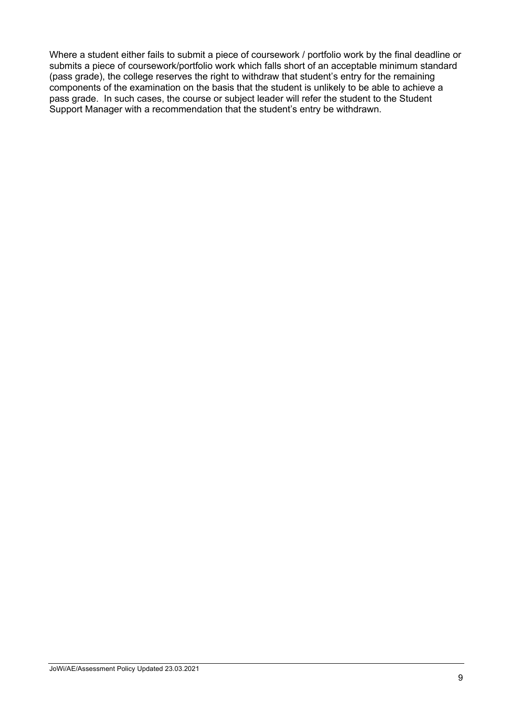Where a student either fails to submit a piece of coursework / portfolio work by the final deadline or submits a piece of coursework/portfolio work which falls short of an acceptable minimum standard (pass grade), the college reserves the right to withdraw that student's entry for the remaining components of the examination on the basis that the student is unlikely to be able to achieve a pass grade. In such cases, the course or subject leader will refer the student to the Student Support Manager with a recommendation that the student's entry be withdrawn.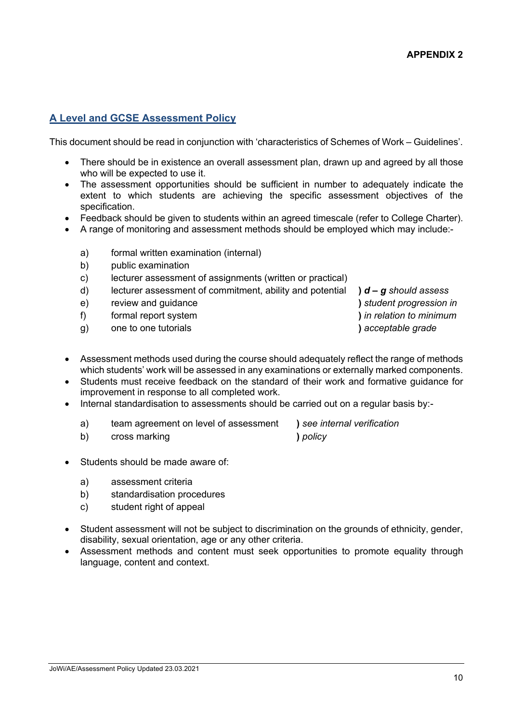## **A Level and GCSE Assessment Policy**

This document should be read in conjunction with 'characteristics of Schemes of Work – Guidelines'.

- There should be in existence an overall assessment plan, drawn up and agreed by all those who will be expected to use it.
- The assessment opportunities should be sufficient in number to adequately indicate the extent to which students are achieving the specific assessment objectives of the specification.
- Feedback should be given to students within an agreed timescale (refer to College Charter).
- A range of monitoring and assessment methods should be employed which may include:
	- a) formal written examination (internal)
	- b) public examination
	- c) lecturer assessment of assignments (written or practical)
	- d) lecturer assessment of commitment, ability and potential **)** *d – g should assess*
	- e) review and guidance **)** *student progression in*
	- f) formal report system **)** *in relation to minimum*
	- g) one to one tutorials **)** *acceptable grade*
- 
- Assessment methods used during the course should adequately reflect the range of methods which students' work will be assessed in any examinations or externally marked components.
- Students must receive feedback on the standard of their work and formative guidance for improvement in response to all completed work.
- Internal standardisation to assessments should be carried out on a regular basis by:
	- a) team agreement on level of assessment **)** *see internal verification*
	- b) cross marking **)** *policy*

- Students should be made aware of:
	- a) assessment criteria
	- b) standardisation procedures
	- c) student right of appeal
- Student assessment will not be subject to discrimination on the grounds of ethnicity, gender, disability, sexual orientation, age or any other criteria.
- Assessment methods and content must seek opportunities to promote equality through language, content and context.